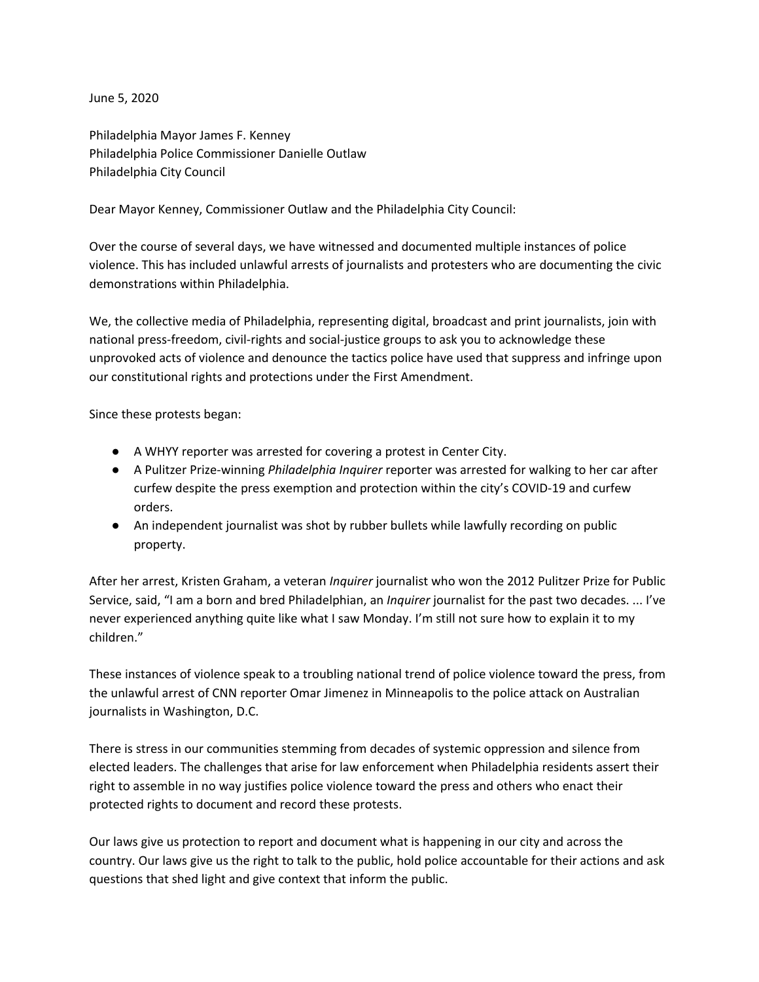June 5, 2020

Philadelphia Mayor James F. Kenney Philadelphia Police Commissioner Danielle Outlaw Philadelphia City Council

Dear Mayor Kenney, Commissioner Outlaw and the Philadelphia City Council:

Over the course of several days, we have witnessed and documented multiple instances of police violence. This has included unlawful arrests of journalists and protesters who are documenting the civic demonstrations within Philadelphia.

We, the collective media of Philadelphia, representing digital, broadcast and print journalists, join with national press-freedom, civil-rights and social-justice groups to ask you to acknowledge these unprovoked acts of violence and denounce the tactics police have used that suppress and infringe upon our constitutional rights and protections under the First Amendment.

Since these protests began:

- A WHYY reporter was arrested for covering a protest in Center City.
- A Pulitzer Prize-winning *Philadelphia Inquirer* reporter was arrested for walking to her car after curfew despite the press exemption and protection within the city's COVID-19 and curfew orders.
- An independent journalist was shot by rubber bullets while lawfully recording on public property.

After her arrest, Kristen Graham, a veteran *Inquirer* journalist who won the 2012 Pulitzer Prize for Public Service, said, "I am a born and bred Philadelphian, an *Inquirer* journalist for the past two decades. ... I've never experienced anything quite like what I saw Monday. I'm still not sure how to explain it to my children."

These instances of violence speak to a troubling national trend of police violence toward the press, from the unlawful arrest of CNN reporter Omar Jimenez in Minneapolis to the police attack on Australian journalists in Washington, D.C.

There is stress in our communities stemming from decades of systemic oppression and silence from elected leaders. The challenges that arise for law enforcement when Philadelphia residents assert their right to assemble in no way justifies police violence toward the press and others who enact their protected rights to document and record these protests.

Our laws give us protection to report and document what is happening in our city and across the country. Our laws give us the right to talk to the public, hold police accountable for their actions and ask questions that shed light and give context that inform the public.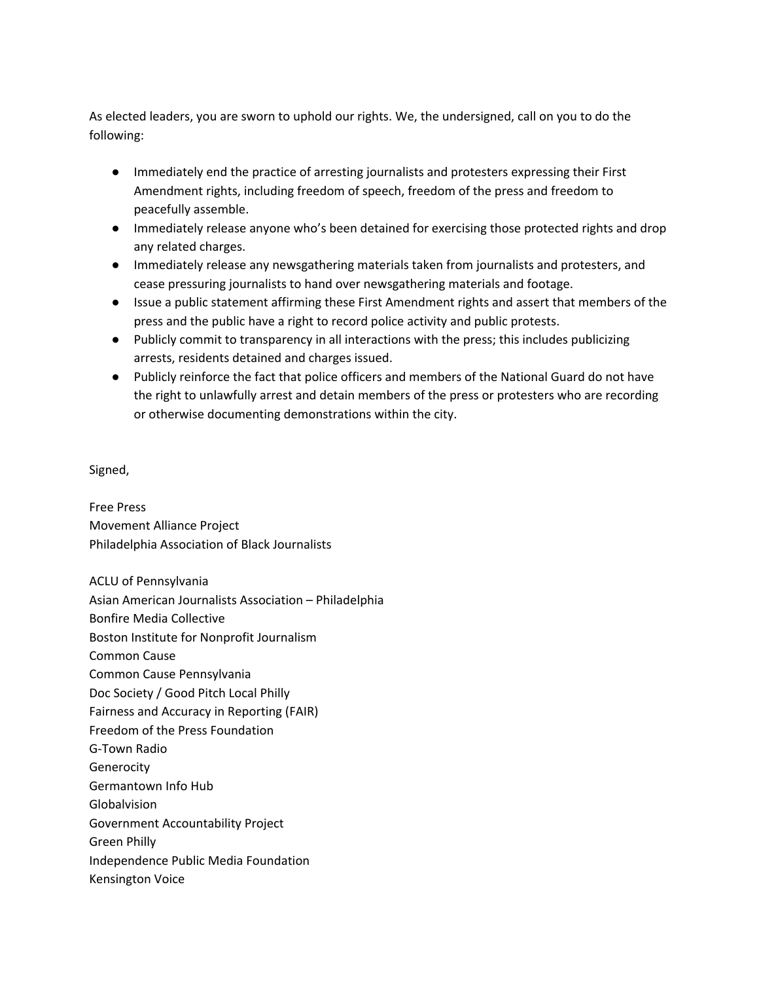As elected leaders, you are sworn to uphold our rights. We, the undersigned, call on you to do the following:

- Immediately end the practice of arresting journalists and protesters expressing their First Amendment rights, including freedom of speech, freedom of the press and freedom to peacefully assemble.
- Immediately release anyone who's been detained for exercising those protected rights and drop any related charges.
- Immediately release any newsgathering materials taken from journalists and protesters, and cease pressuring journalists to hand over newsgathering materials and footage.
- Issue a public statement affirming these First Amendment rights and assert that members of the press and the public have a right to record police activity and public protests.
- Publicly commit to transparency in all interactions with the press; this includes publicizing arrests, residents detained and charges issued.
- Publicly reinforce the fact that police officers and members of the National Guard do not have the right to unlawfully arrest and detain members of the press or protesters who are recording or otherwise documenting demonstrations within the city.

Signed,

Free Press Movement Alliance Project Philadelphia Association of Black Journalists

ACLU of Pennsylvania Asian American Journalists Association – Philadelphia Bonfire Media Collective Boston Institute for Nonprofit Journalism Common Cause Common Cause Pennsylvania Doc Society / Good Pitch Local Philly Fairness and Accuracy in Reporting (FAIR) Freedom of the Press Foundation G-Town Radio **Generocity** Germantown Info Hub Globalvision Government Accountability Project Green Philly Independence Public Media Foundation Kensington Voice